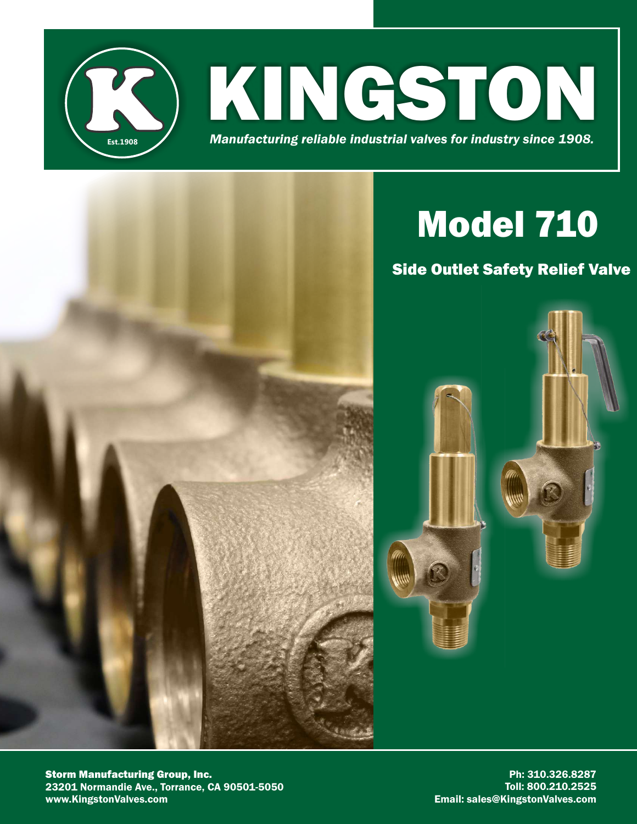

# Model 710

# Side Outlet Safety Relief Valve



Storm Manufacturing Group, Inc. 23201 Normandie Ave., Torrance, CA 90501-5050 www.KingstonValves.com

Ph: 310.326.8287 Toll: 800.210.2525 Email: sales@KingstonValves.com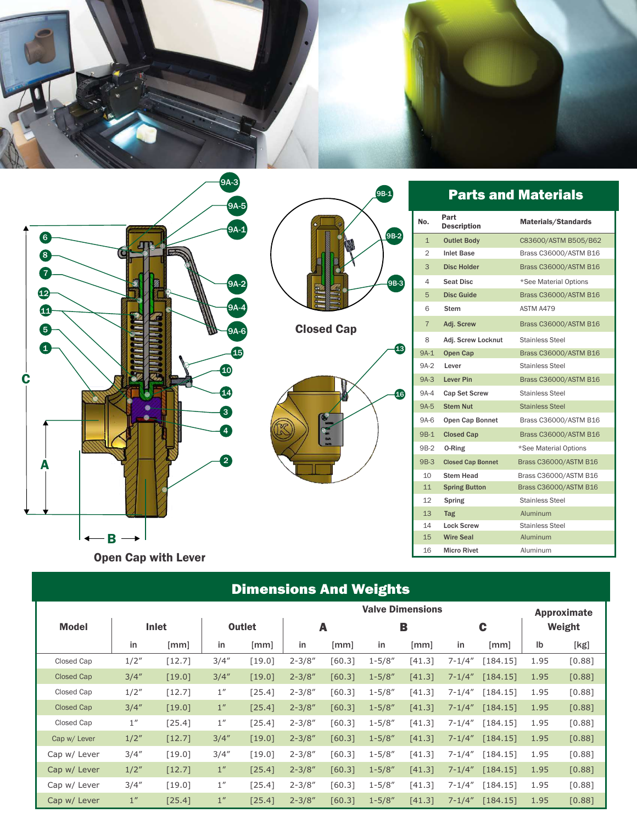

9B-1

9B-2

9B-3

13

16



Open Cap with Lever

# Dimensions And Weights

|                   |       |          |               |        | <b>Valve Dimensions</b> |        |            |        |             |          | <b>Approximate</b> |          |
|-------------------|-------|----------|---------------|--------|-------------------------|--------|------------|--------|-------------|----------|--------------------|----------|
| Model             | Inlet |          | <b>Outlet</b> |        | A                       |        | B          |        | C           |          | Weight             |          |
|                   | in    | [mm]     | in            | [mm]   | in                      | [mm]   | in         | [mm]   | in          | [mm]     | Ib                 | [kg]     |
| Closed Cap        | 1/2'' | $[12.7]$ | 3/4''         | [19.0] | $2 - 3/8"$              | [60.3] | $1 - 5/8"$ | [41.3] | $7 - 1/4''$ | [184.15] | 1.95               | $[0.88]$ |
| <b>Closed Cap</b> | 3/4'' | [19.0]   | 3/4''         | [19.0] | $2 - 3/8"$              | [60.3] | $1 - 5/8"$ | [41.3] | $7 - 1/4"$  | [184.15] | 1.95               | [0.88]   |
| Closed Cap        | 1/2'' | $[12.7]$ | 1''           | [25.4] | $2 - 3/8''$             | [60.3] | $1 - 5/8"$ | [41.3] | $7 - 1/4''$ | [184.15] | 1.95               | [0.88]   |
| <b>Closed Cap</b> | 3/4'' | [19.0]   | 1''           | [25.4] | $2 - 3/8"$              | [60.3] | $1 - 5/8"$ | [41.3] | $7 - 1/4''$ | [184.15] | 1.95               | [0.88]   |
| Closed Cap        | 1''   | [25.4]   | 1''           | [25.4] | $2 - 3/8"$              | [60.3] | $1 - 5/8"$ | [41.3] | $7 - 1/4''$ | [184.15] | 1.95               | [0.88]   |
| Cap w/ Lever      | 1/2"  | [12.7]   | 3/4''         | [19.0] | $2 - 3/8"$              | [60.3] | $1 - 5/8"$ | [41.3] | $7 - 1/4''$ | [184.15] | 1.95               | [0.88]   |
| Cap w/ Lever      | 3/4'' | [19.0]   | 3/4''         | [19.0] | $2 - 3/8''$             | [60.3] | $1 - 5/8"$ | [41.3] | $7 - 1/4''$ | [184.15] | 1.95               | [0.88]   |
| Cap w/ Lever      | 1/2"  | [12.7]   | 1''           | [25.4] | $2 - 3/8"$              | [60.3] | $1 - 5/8"$ | [41.3] | $7 - 1/4"$  | [184.15] | 1.95               | [0.88]   |
| Cap w/ Lever      | 3/4'' | [19.0]   | 1''           | [25.4] | $2 - 3/8"$              | [60.3] | $1 - 5/8"$ | [41.3] | $7 - 1/4''$ | [184.15] | 1.95               | [0.88]   |
| Cap w/ Lever      | 1''   | [25.4]   | 1''           | [25.4] | $2 - 3/8"$              | [60.3] | $1 - 5/8"$ | [41.3] | $7 - 1/4''$ | [184.15] | 1.95               | [0.88]   |

## Parts and Materials

| No.             | Part<br><b>Description</b> | <b>Materials/Standards</b> |
|-----------------|----------------------------|----------------------------|
| $\mathbf{1}$    | <b>Outlet Body</b>         | C83600/ASTM B505/B62       |
| 2               | <b>Inlet Base</b>          | Brass C36000/ASTM B16      |
| 3               | <b>Disc Holder</b>         | Brass C36000/ASTM B16      |
| 4               | <b>Seat Disc</b>           | *See Material Options      |
| 5               | <b>Disc Guide</b>          | Brass C36000/ASTM B16      |
| 6               | <b>Stem</b>                | ASTM A479                  |
| $\overline{7}$  | Adj. Screw                 | Brass C36000/ASTM B16      |
| 8               | Adj. Screw Locknut         | Stainless Steel            |
| $9A-1$          | Open Cap                   | Brass C36000/ASTM B16      |
| 9A-2            | Lever                      | <b>Stainless Steel</b>     |
|                 | 9A-3 Lever Pin             | Brass C36000/ASTM B16      |
|                 | 9A-4 Cap Set Screw         | Stainless Steel            |
|                 | 9A-5 Stem Nut              | <b>Stainless Steel</b>     |
| 9A-6            | Open Cap Bonnet            | Brass C36000/ASTM B16      |
| $9B-1$          | <b>Closed Cap</b>          | Brass C36000/ASTM B16      |
| 9B-2            | 0-Ring                     | *See Material Options      |
| 9B-3            | <b>Closed Cap Bonnet</b>   | Brass C36000/ASTM B16      |
| 10 <sup>°</sup> | <b>Stem Head</b>           | Brass C36000/ASTM B16      |
| 11              | <b>Spring Button</b>       | Brass C36000/ASTM B16      |
| 12              | <b>Spring</b>              | <b>Stainless Steel</b>     |
| 13              | Tag                        | Aluminum                   |
| 14              | <b>Lock Screw</b>          | <b>Stainless Steel</b>     |
| 15              | <b>Wire Seal</b>           | Aluminum                   |
| 16              | <b>Micro Rivet</b>         | Aluminum                   |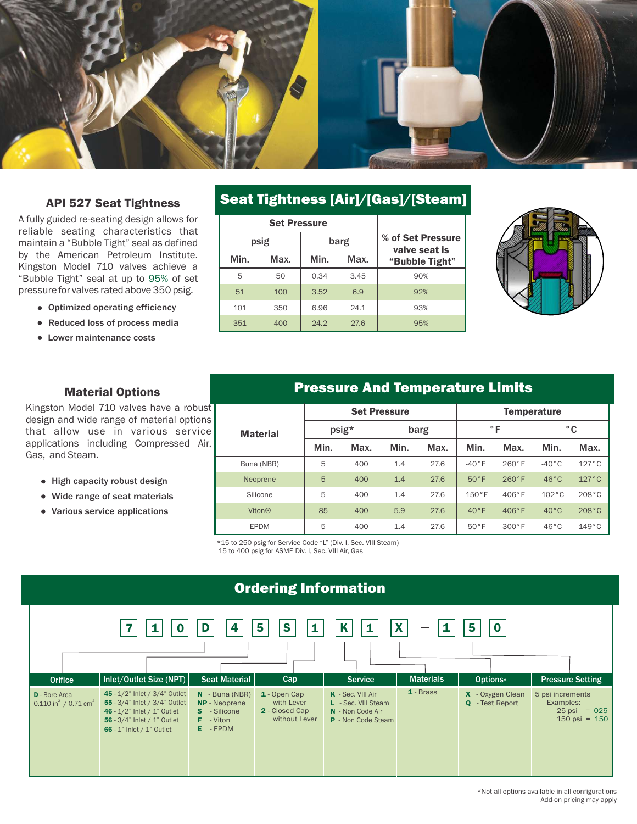

#### API 527 Seat Tightness

A fully guided re-seating design allows for reliable seating characteristics that maintain a "Bubble Tight" seal as defined by the American Petroleum Institute. Kingston Model 710 valves achieve a "Bubble Tight" seal at up to 95% of set pressure for valves rated above 350 psig.

- Optimized operating efficiency
- Reduced loss of process media
- Lower maintenance costs

#### Seat Tightness [Air]/[Gas]/[Steam]

|              | <b>Set Pressure</b> |                                    |      |                |
|--------------|---------------------|------------------------------------|------|----------------|
|              | psig                | % of Set Pressure<br>valve seat is |      |                |
| Min.<br>Max. |                     | Min.                               | Max. | "Bubble Tight" |
| 5            | 50                  | 0.34                               | 3.45 | 90%            |
| 51           | 100                 |                                    | 6.9  | 92%            |
| 101          | 350                 | 6.96                               | 24.1 | 93%            |
| 351          | 400                 | 24.2                               | 27.6 | 95%            |



#### Material Options

Kingston Model 710 valves have a robust design and wide range of material options that allow use in various service applications including Compressed Air, Gas, and Steam.

- High capacity robust design
- Wide range of seat materials
- Various service applications

#### Pressure And Temperature Limits

|                 | <b>Set Pressure</b> |      |      |      | <b>Temperature</b> |          |                 |       |
|-----------------|---------------------|------|------|------|--------------------|----------|-----------------|-------|
| <b>Material</b> | psig*               |      | barg |      | °F                 |          | °C              |       |
|                 | Min.                | Max. | Min. | Max. | Min.               | Max.     | Min.            | Max.  |
| Buna (NBR)      | 5                   | 400  | 1.4  | 27.6 | $-40°$ F           | 260°F    | $-40^{\circ}$ C | 127°C |
| Neoprene        | 5                   | 400  | 1.4  | 27.6 | $-50°$ F           | 260°F    | $-46^{\circ}$ C | 127°C |
| Silicone        | 5                   | 400  | 1.4  | 27.6 | $-150$ °F          | 406°F    | $-102$ °C       | 208°C |
| <b>Viton®</b>   | 85                  | 400  | 5.9  | 27.6 | $-40°$ F           | 406°F    | $-40^{\circ}$ C | 208°C |
| <b>EPDM</b>     | 5                   | 400  | 1.4  | 27.6 | $-50°$ F           | $300°$ F | $-46^\circ C$   | 149°C |

\*15 to 250 psig for Service Code "L" (Div. I, Sec. VIII Steam) 15 to 400 psig for ASME Div. I, Sec. VIII Air, Gas

#### Ordering Information

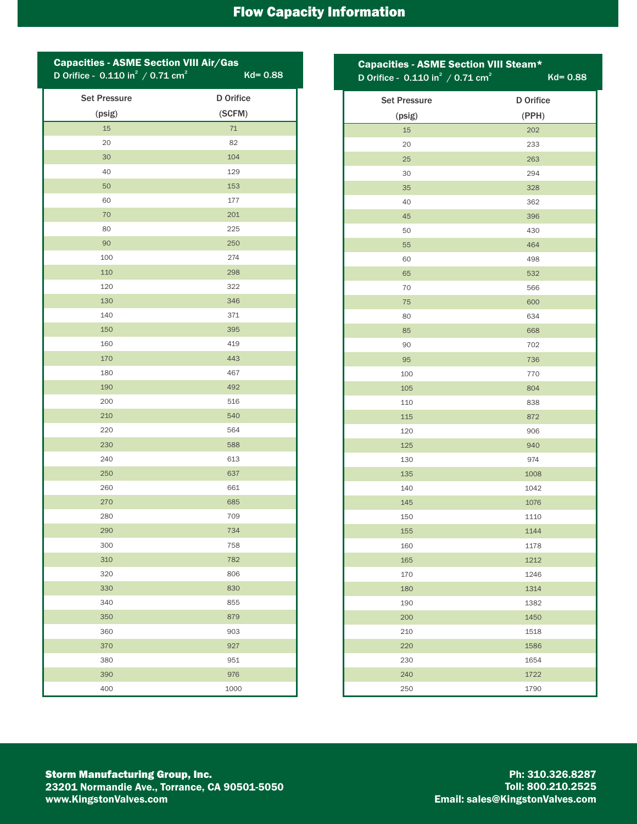# Flow Capacity Information

| <b>Capacities - ASME Section VIII Air/Gas</b><br>D Orifice - $0.110$ in <sup>2</sup> / 0.71 cm <sup>2</sup> | $Kd = 0.88$      |
|-------------------------------------------------------------------------------------------------------------|------------------|
| <b>Set Pressure</b>                                                                                         | <b>D</b> Orifice |
| (psig)                                                                                                      | (SCFM)           |
| 15                                                                                                          | 71               |
| 20                                                                                                          | 82               |
| 30                                                                                                          | 104              |
| 40                                                                                                          | 129              |
| 50                                                                                                          | 153              |
| 60                                                                                                          | 177              |
| 70                                                                                                          | 201              |
| 80                                                                                                          | 225              |
| 90                                                                                                          | 250              |
| 100                                                                                                         | 274              |
| 110                                                                                                         | 298              |
| 120                                                                                                         | 322              |
| 130                                                                                                         | 346              |
| 140                                                                                                         | 371              |
| 150                                                                                                         | 395              |
| 160                                                                                                         | 419              |
| 170                                                                                                         | 443              |
| 180                                                                                                         | 467              |
| 190                                                                                                         | 492              |
| 200                                                                                                         | 516              |
| 210                                                                                                         | 540              |
| 220                                                                                                         | 564              |
| 230                                                                                                         | 588              |
| 240                                                                                                         | 613              |
| 250                                                                                                         | 637              |
| 260                                                                                                         | 661              |
| 270                                                                                                         | 685              |
| 280                                                                                                         | 709              |
| 290                                                                                                         | 734              |
| 300                                                                                                         | 758              |
| 310                                                                                                         | 782              |
| 320                                                                                                         | 806              |
| 330                                                                                                         | 830              |
| 340                                                                                                         | 855              |
| 350                                                                                                         | 879              |
| 360                                                                                                         | 903              |
| 370                                                                                                         | 927              |
| 380                                                                                                         | 951              |
| 390                                                                                                         | 976              |
| 400                                                                                                         | 1000             |

| <b>Capacities - ASME Section VIII Steam*</b><br>D Orifice - $0.110$ in <sup>2</sup> / $0.71$ cm <sup>2</sup> | $Kd = 0.88$      |
|--------------------------------------------------------------------------------------------------------------|------------------|
| <b>Set Pressure</b>                                                                                          | <b>D</b> Orifice |
| (psig)                                                                                                       | (PPH)            |
| 15                                                                                                           | 202              |
| 20                                                                                                           | 233              |
| 25                                                                                                           | 263              |
| 30                                                                                                           | 294              |
| 35                                                                                                           | 328              |
| 40                                                                                                           | 362              |
| 45                                                                                                           | 396              |
| 50                                                                                                           | 430              |
| 55                                                                                                           | 464              |
| 60                                                                                                           | 498              |
| 65                                                                                                           | 532              |
| 70                                                                                                           | 566              |
| 75                                                                                                           | 600              |
| 80                                                                                                           | 634              |
| 85                                                                                                           | 668              |
| 90                                                                                                           | 702              |
| 95                                                                                                           | 736              |
| 100                                                                                                          | 770              |
| 105                                                                                                          | 804              |
| 110                                                                                                          | 838              |
| 115                                                                                                          | 872              |
| 120                                                                                                          | 906              |
| 125                                                                                                          | 940              |
| 130                                                                                                          | 974              |
| 135                                                                                                          | 1008             |
| 140                                                                                                          | 1042             |
| 145                                                                                                          | 1076             |
| 150                                                                                                          | 1110             |
| 155                                                                                                          | 1144             |
| 160                                                                                                          | 1178             |
| 165                                                                                                          | 1212             |
| 170                                                                                                          | 1246             |
| 180                                                                                                          | 1314             |
| 190                                                                                                          | 1382<br>1450     |
| 200<br>210                                                                                                   |                  |
| 220                                                                                                          | 1518<br>1586     |
| 230                                                                                                          | 1654             |
| 240                                                                                                          | 1722             |
| 250                                                                                                          | 1790             |

Ph: 310.326.8287 Toll: 800.210.2525 Email: sales@KingstonValves.com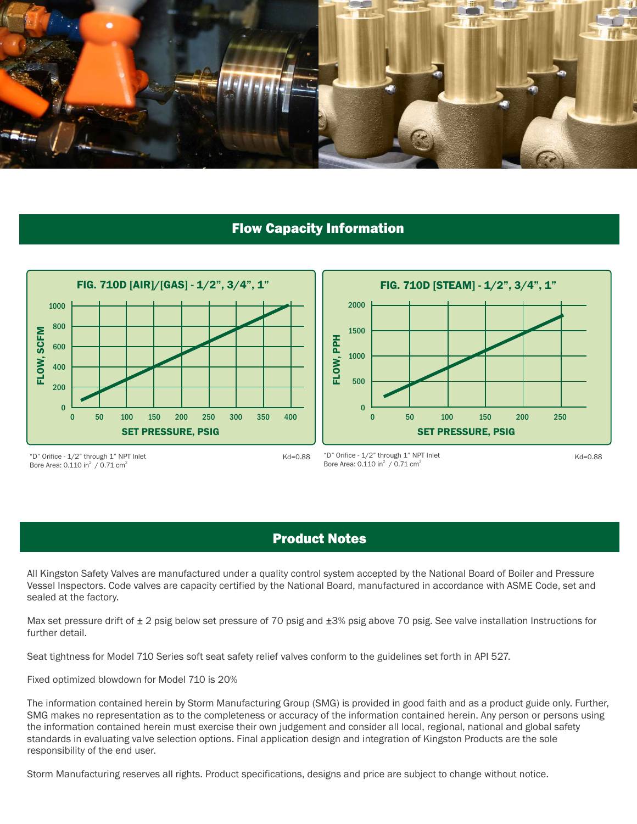

#### Flow Capacity Information





"D" Orifice - 1/2" through 1" NPT Inlet Bore Area: 0.110 in $^2$  / 0.71 cm<sup>2</sup>

"D" Orifice - 1/2" through 1" NPT Inlet Kd=0.88 Kd=0.88 Bore Area:  $0.110$  in<sup>2</sup> /  $0.71$  cm<sup>2</sup>

#### Product Notes

All Kingston Safety Valves are manufactured under a quality control system accepted by the National Board of Boiler and Pressure Vessel Inspectors. Code valves are capacity certified by the National Board, manufactured in accordance with ASME Code, set and sealed at the factory.

Max set pressure drift of  $\pm 2$  psig below set pressure of 70 psig and  $\pm 3\%$  psig above 70 psig. See valve installation Instructions for further detail.

Seat tightness for Model 710 Series soft seat safety relief valves conform to the guidelines set forth in API 527.

Fixed optimized blowdown for Model 710 is 20%

The information contained herein by Storm Manufacturing Group (SMG) is provided in good faith and as a product guide only. Further, SMG makes no representation as to the completeness or accuracy of the information contained herein. Any person or persons using the information contained herein must exercise their own judgement and consider all local, regional, national and global safety standards in evaluating valve selection options. Final application design and integration of Kingston Products are the sole responsibility of the end user.

Storm Manufacturing reserves all rights. Product specifications, designs and price are subject to change without notice.